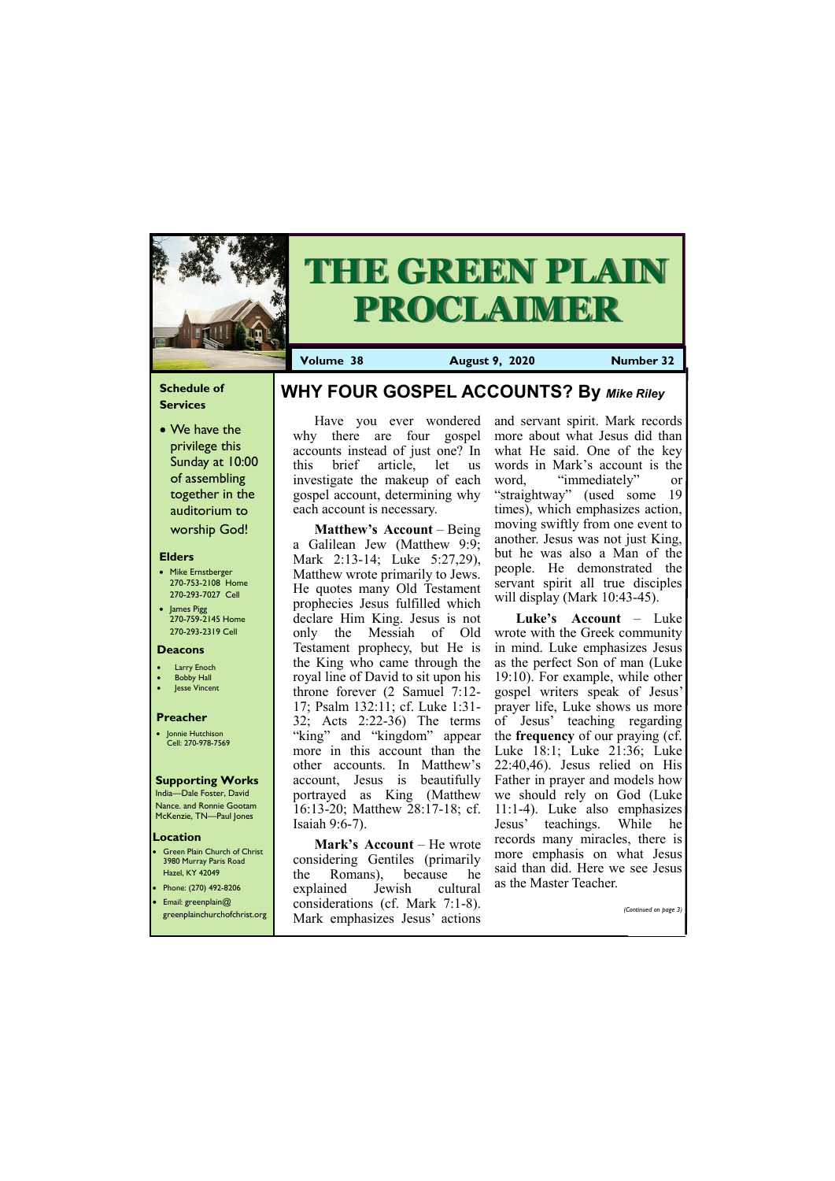### **Schedule of Services**

• We have the privilege this Sunday at 10:00 of assembling together in the auditorium to worship God!

### **Elders**

**Green Plain Church of Christ** 3980 Murray Paris Road Hazel, KY 42049 • Phone: (270) 492-8206

- Mike Ernstberger 270-753-2108 Home 270-293-7027 Cell
- James Pigg 270-759-2145 Home 270-293-2319 Cell

#### **Location**



# **THE GREEN PLAIN PROCLAIMER**

**Volume 38 August 9, 2020 Number 32**

#### **Deacons**

- **Larry Enoch**
- **Bobby Hall**
- **Jesse Vincent**

### **Preacher**

• Jonnie Hutchison Cell: 270-978-7569

### **Supporting Works**

India—Dale Foster, David Nance. and Ronnie Gootam McKenzie, TN—Paul Jones

Have you ever wondered why there are four gospel accounts instead of just one? In this brief article, let us investigate the makeup of each gospel account, determining why each account is necessary.

**Matthew's Account** – Being a Galilean Jew (Matthew 9:9; Mark 2:13-14; Luke 5:27,29), Matthew wrote primarily to Jews. He quotes many Old Testament prophecies Jesus fulfilled which declare Him King. Jesus is not only the Messiah of Old Testament prophecy, but He is the King who came through the royal line of David to sit upon his throne forever (2 Samuel 7:12- 17; Psalm 132:11; cf. Luke 1:31- 32; Acts 2:22-36) The terms "king" and "kingdom" appear more in this account than the other accounts. In Matthew's account, Jesus is beautifully portrayed as King (Matthew 16:13-20; Matthew 28:17-18; cf. Isaiah 9:6-7).

| <b>•</b> Email: greenplain@  | .<br>----------<br>considerations (cf. Mark 7:1-8). | (Continued on page 3) |
|------------------------------|-----------------------------------------------------|-----------------------|
| greenplainchurchofchrist.org | Mark emphasizes Jesus' actions                      |                       |

**Mark's Account** – He wrote considering Gentiles (primarily the Romans), because he explained Jewish cultural

and servant spirit. Mark records more about what Jesus did than what He said. One of the key words in Mark's account is the word, "immediately" or "straightway" (used some 19 times), which emphasizes action, moving swiftly from one event to another. Jesus was not just King, but he was also a Man of the people. He demonstrated the servant spirit all true disciples will display (Mark 10:43-45).

**Luke's Account** – Luke wrote with the Greek community in mind. Luke emphasizes Jesus as the perfect Son of man (Luke 19:10). For example, while other gospel writers speak of Jesus' prayer life, Luke shows us more of Jesus' teaching regarding the **frequency** of our praying (cf. Luke 18:1; Luke 21:36; Luke 22:40,46). Jesus relied on His Father in prayer and models how we should rely on God (Luke 11:1-4). Luke also emphasizes Jesus' teachings. While he records many miracles, there is more emphasis on what Jesus said than did. Here we see Jesus as the Master Teacher.

## **WHY FOUR GOSPEL ACCOUNTS? By** *Mike Riley*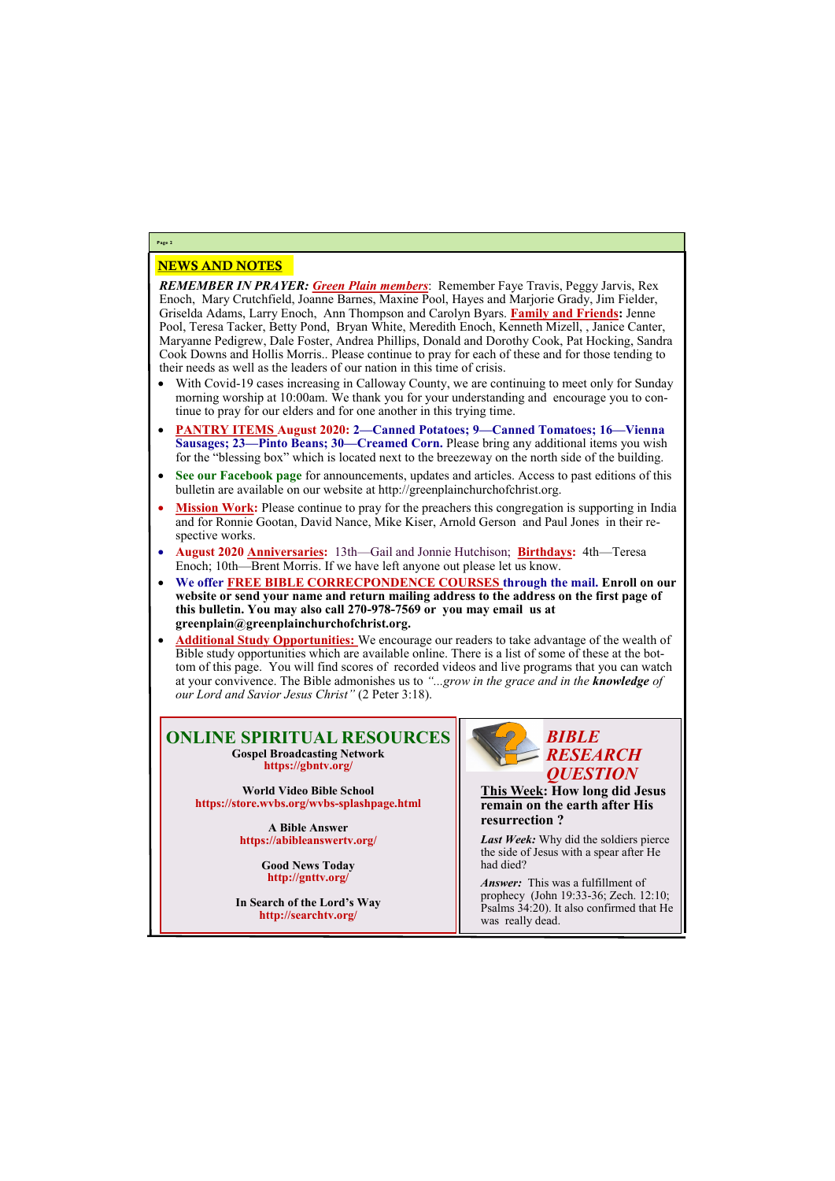### NEWS AND NOTES

*REMEMBER IN PRAYER: Green Plain members*: Remember Faye Travis, Peggy Jarvis, Rex Enoch, Mary Crutchfield, Joanne Barnes, Maxine Pool, Hayes and Marjorie Grady, Jim Fielder, Griselda Adams, Larry Enoch, Ann Thompson and Carolyn Byars. **Family and Friends:** Jenne Pool, Teresa Tacker, Betty Pond, Bryan White, Meredith Enoch, Kenneth Mizell, , Janice Canter, Maryanne Pedigrew, Dale Foster, Andrea Phillips, Donald and Dorothy Cook, Pat Hocking, Sandra Cook Downs and Hollis Morris.. Please continue to pray for each of these and for those tending to their needs as well as the leaders of our nation in this time of crisis.

- With Covid-19 cases increasing in Calloway County, we are continuing to meet only for Sunday morning worship at 10:00am. We thank you for your understanding and encourage you to continue to pray for our elders and for one another in this trying time.
- **PANTRY ITEMS August 2020: 2—Canned Potatoes; 9—Canned Tomatoes; 16—Vienna Sausages; 23—Pinto Beans; 30—Creamed Corn.** Please bring any additional items you wish for the "blessing box" which is located next to the breezeway on the north side of the building.
- **See our Facebook page** for announcements, updates and articles. Access to past editions of this bulletin are available on our website at http://greenplainchurchofchrist.org.
- Mission Work: Please continue to pray for the preachers this congregation is supporting in India and for Ronnie Gootan, David Nance, Mike Kiser, Arnold Gerson and Paul Jones in their respective works.
- **August 2020 Anniversaries:** 13th—Gail and Jonnie Hutchison; **Birthdays:** 4th—Teresa Enoch; 10th—Brent Morris. If we have left anyone out please let us know.
- **We offer FREE BIBLE CORRECPONDENCE COURSES through the mail. Enroll on our website or send your name and return mailing address to the address on the first page of this bulletin. You may also call 270-978-7569 or you may email us at greenplain@greenplainchurchofchrist.org.**
- **Additional Study Opportunities:** We encourage our readers to take advantage of the wealth of Bible study opportunities which are available online. There is a list of some of these at the bottom of this page. You will find scores of recorded videos and live programs that you can watch at your convivence. The Bible admonishes us to *"...grow in the grace and in the knowledge of our Lord and Savior Jesus Christ"* (2 Peter 3:18).

**Page 2**

### **ONLINE SPIRITUAL RESOURCES Gospel Broadcasting Network https://gbntv.org/**

**World Video Bible School https://store.wvbs.org/wvbs-splashpage.html**

> **A Bible Answer https://abibleanswertv.org/**

> > **Good News Today http://gnttv.org/**

**In Search of the Lord's Way http://searchtv.org/**



**This Week: How long did Jesus remain on the earth after His resurrection ?**

*Last Week:* Why did the soldiers pierce the side of Jesus with a spear after He had died?

*Answer:* This was a fulfillment of

prophecy (John 19:33-36; Zech. 12:10; Psalms 34:20). It also confirmed that He was really dead.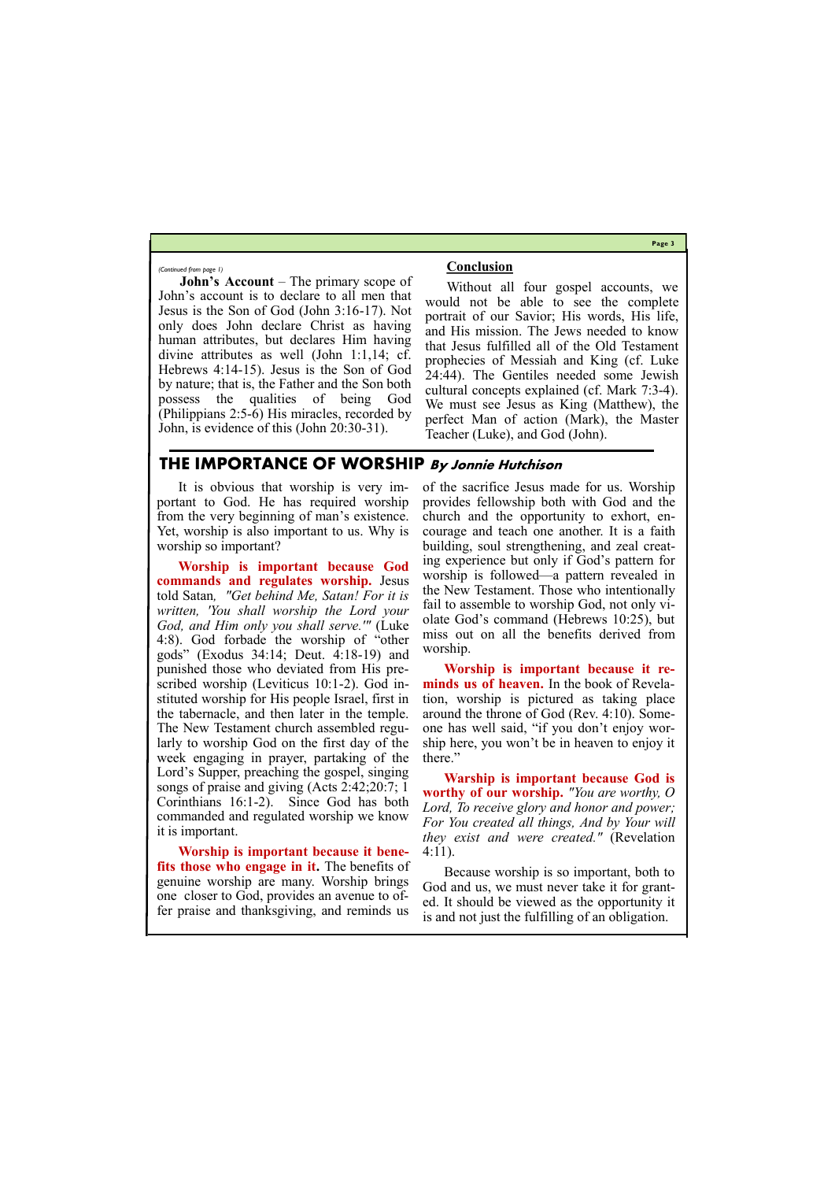**Page 3**

**John's Account** – The primary scope of John's account is to declare to all men that Jesus is the Son of God (John 3:16-17). Not only does John declare Christ as having human attributes, but declares Him having divine attributes as well (John 1:1,14; cf. Hebrews 4:14-15). Jesus is the Son of God by nature; that is, the Father and the Son both possess the qualities of being God (Philippians 2:5-6) His miracles, recorded by John, is evidence of this (John 20:30-31).

### **Conclusion**

Without all four gospel accounts, we would not be able to see the complete portrait of our Savior; His words, His life, and His mission. The Jews needed to know that Jesus fulfilled all of the Old Testament prophecies of Messiah and King (cf. Luke 24:44). The Gentiles needed some Jewish cultural concepts explained (cf. Mark 7:3-4). We must see Jesus as King (Matthew), the perfect Man of action (Mark), the Master Teacher (Luke), and God (John).

*(Continued from page 1)*

### **THE IMPORTANCE OF WORSHIP By Jonnie Hutchison**

It is obvious that worship is very important to God. He has required worship from the very beginning of man's existence. Yet, worship is also important to us. Why is worship so important?

**Worship is important because God commands and regulates worship.** Jesus told Satan*, "Get behind Me, Satan! For it is written, 'You shall worship the Lord your God, and Him only you shall serve.'"* (Luke 4:8). God forbade the worship of "other gods" (Exodus 34:14; Deut. 4:18-19) and punished those who deviated from His prescribed worship (Leviticus 10:1-2). God instituted worship for His people Israel, first in the tabernacle, and then later in the temple. The New Testament church assembled regularly to worship God on the first day of the week engaging in prayer, partaking of the Lord's Supper, preaching the gospel, singing songs of praise and giving (Acts 2:42;20:7; 1 Corinthians 16:1-2). Since God has both commanded and regulated worship we know it is important.

**Worship is important because it benefits those who engage in it.** The benefits of genuine worship are many. Worship brings

one closer to God, provides an avenue to offer praise and thanksgiving, and reminds us

of the sacrifice Jesus made for us. Worship provides fellowship both with God and the church and the opportunity to exhort, encourage and teach one another. It is a faith building, soul strengthening, and zeal creating experience but only if God's pattern for worship is followed—a pattern revealed in the New Testament. Those who intentionally fail to assemble to worship God, not only violate God's command (Hebrews 10:25), but miss out on all the benefits derived from worship.

**Worship is important because it reminds us of heaven.** In the book of Revelation, worship is pictured as taking place around the throne of God (Rev. 4:10). Someone has well said, "if you don't enjoy worship here, you won't be in heaven to enjoy it there."

**Warship is important because God is worthy of our worship.** *"You are worthy, O Lord, To receive glory and honor and power; For You created all things, And by Your will they exist and were created."* (Revelation 4:11).

Because worship is so important, both to God and us, we must never take it for grant-

ed. It should be viewed as the opportunity it is and not just the fulfilling of an obligation.